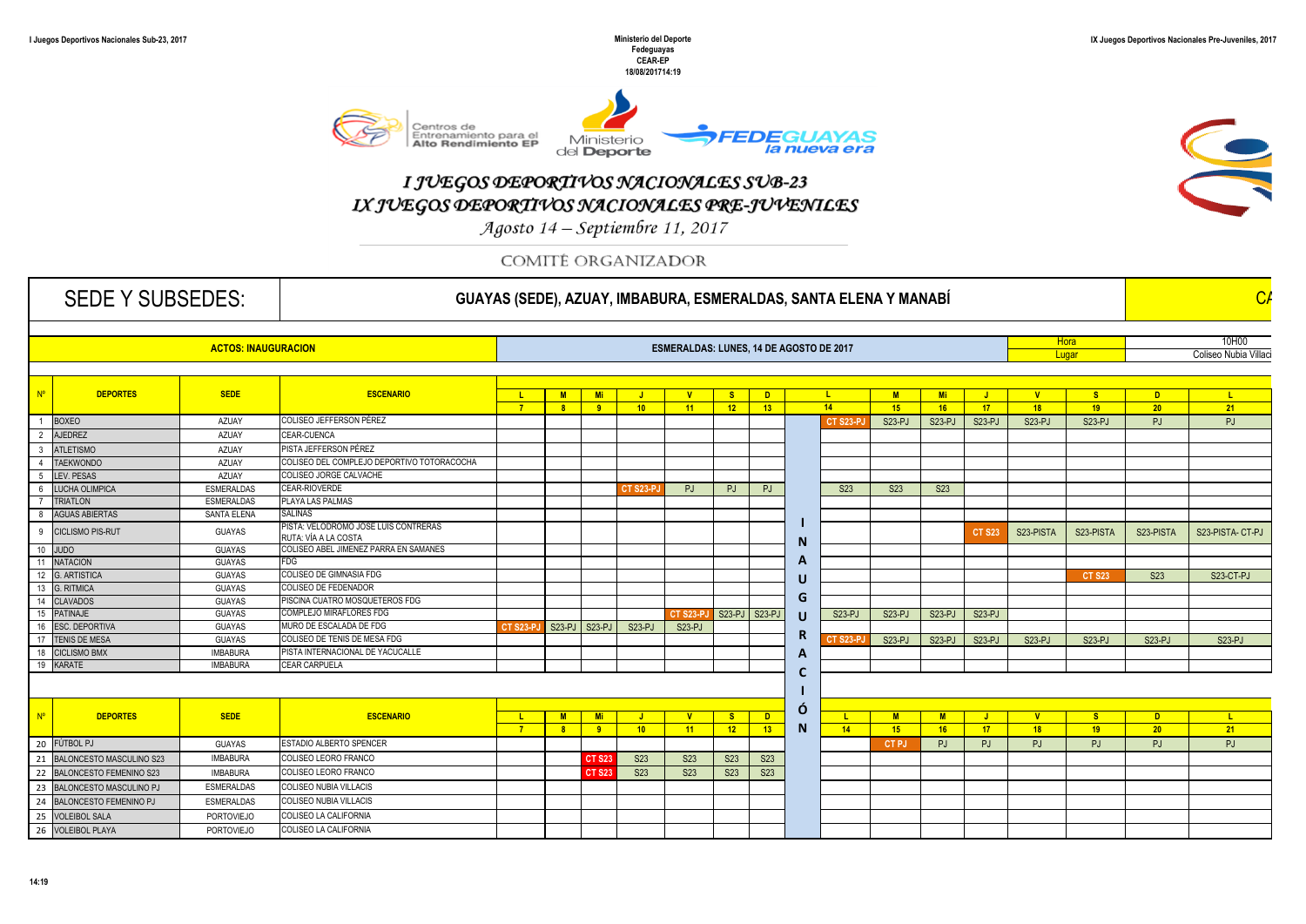S



## I JUEGOS DEPORTIVOS NACIONALES SUB-23 IX JUEGOS DEPORTIVOS NACIONALES PRE-JUVENILES

Agosto 14 - Septiembre 11, 2017

COMITÉ ORGANIZADOR

| <b>SEDE Y SUBSEDES:</b>    |                                 |                    |                                            |  |                                         | GUAYAS (SEDE), AZUAY, IMBABURA, ESMERALDAS, SANTA ELENA Y MANABÍ |                           |            |                                              |        |                 |                             |           |                |                         |                                           |                            |                              |
|----------------------------|---------------------------------|--------------------|--------------------------------------------|--|-----------------------------------------|------------------------------------------------------------------|---------------------------|------------|----------------------------------------------|--------|-----------------|-----------------------------|-----------|----------------|-------------------------|-------------------------------------------|----------------------------|------------------------------|
| <b>ACTOS: INAUGURACION</b> |                                 |                    |                                            |  | ESMERALDAS: LUNES, 14 DE AGOSTO DE 2017 |                                                                  |                           |            |                                              |        |                 |                             |           |                | <b>Hora</b><br>Lugar    | 10H00<br>Coliseo Nubia Villaci            |                            |                              |
|                            | <b>DEPORTES</b>                 | <b>SEDE</b>        | <b>ESCENARIO</b>                           |  |                                         | <u>  L  M  Mi JJJJVJ</u>                                         |                           |            | <u>ID 1</u><br><b>S</b><br>7 8 9 10 11 12 13 |        | $-14$           | M <sub>1</sub><br>$-15$     | <b>Mi</b> | <b>16</b> 17 1 | $\mathbf{v}$<br>$-18$   | - S -<br>$-19$                            | <b>D</b><br>$-20$          | $-1$<br>$\sim$ 21 $\sim$     |
| <b>BOXEO</b>               |                                 | AZUAY              | COLISEO JEFFERSON PÉREZ                    |  |                                         |                                                                  |                           |            |                                              |        |                 | $S23-PJ$                    |           | S23-PJ S23-PJ  | S23-PJ                  | $S23-PJ$                                  | PJ                         | $P_{1}$                      |
| 2 AJEDREZ                  |                                 | AZUAY              | CEAR-CUENCA                                |  |                                         |                                                                  |                           |            |                                              |        |                 |                             |           |                |                         |                                           |                            |                              |
| 3 ATLETISMO                |                                 | AZUAY              | PISTA JEFFERSON PÉREZ                      |  |                                         |                                                                  |                           |            |                                              |        |                 |                             |           |                |                         |                                           |                            |                              |
| 4 TAEKWONDO                |                                 | AZUAY              | COLISEO DEL COMPLEJO DEPORTIVO TOTORACOCHA |  |                                         |                                                                  |                           |            |                                              |        |                 |                             |           |                |                         |                                           |                            |                              |
| 5 LEV. PESAS               |                                 | AZUAY              | COLISEO JORGE CALVACHE                     |  |                                         |                                                                  |                           |            |                                              |        |                 |                             |           |                |                         |                                           |                            |                              |
|                            | 6 LUCHA OLIMPICA                | <b>ESMERALDAS</b>  | <b>CEAR-RIOVERDE</b>                       |  |                                         |                                                                  | $CT$ S <sub>23</sub> -P.I |            | PJ PJ PJ                                     |        | S <sub>23</sub> | S <sub>23</sub>             | S23       |                |                         |                                           |                            |                              |
| <b>TRIATLON</b>            |                                 | <b>ESMERALDAS</b>  | PLAYA LAS PALMAS                           |  |                                         |                                                                  |                           |            |                                              |        |                 |                             |           |                |                         |                                           |                            |                              |
|                            | 8 AGUAS ABIERTAS                | <b>SANTA ELENA</b> | SALINAS                                    |  |                                         |                                                                  |                           |            |                                              |        |                 |                             |           |                |                         |                                           |                            |                              |
|                            |                                 |                    | PISTA: VELODROMO JOSE LUIS CONTRERAS       |  |                                         |                                                                  |                           |            |                                              |        |                 |                             |           |                |                         |                                           |                            |                              |
|                            | <b>CICLISMO PIS-RUT</b>         | <b>GUAYAS</b>      | RUTA: VÍA A LA COSTA                       |  |                                         |                                                                  |                           |            |                                              |        |                 |                             |           | T S23          | S23-PISTA               | S23-PISTA                                 | S23-PISTA                  | S23-PISTA- CT-PJ             |
| 10 JUDO                    |                                 | GUAYAS             | COLISEO ABEL JIMENEZ PARRA EN SAMANES      |  |                                         |                                                                  |                           |            |                                              |        |                 |                             |           |                |                         |                                           |                            |                              |
| 11 NATACION                |                                 | <b>GUAYAS</b>      |                                            |  |                                         |                                                                  |                           |            |                                              |        |                 |                             |           |                |                         |                                           |                            |                              |
| 12 G. ARTISTICA            |                                 | <b>GUAYAS</b>      | COLISEO DE GIMNASIA FDG                    |  |                                         |                                                                  |                           |            |                                              |        |                 |                             |           |                |                         | <b>CT S23</b>                             | <b>S23</b>                 | S23-CT-PJ                    |
| 13 G. RITMICA              |                                 | <b>GUAYAS</b>      | COLISEO DE FEDENADOR                       |  |                                         |                                                                  |                           |            |                                              |        |                 |                             |           |                |                         |                                           |                            |                              |
| 14 CLAVADOS                |                                 | <b>GUAYAS</b>      | PISCINA CUATRO MOSQUETEROS FDG             |  |                                         |                                                                  |                           |            |                                              | G      |                 |                             |           |                |                         |                                           |                            |                              |
| 15 PATINAJE                |                                 | <b>GUAYAS</b>      | COMPLEJO MIRAFLORES FDG                    |  |                                         |                                                                  |                           |            | CT S23-PJ S23-PJ S23-PJ                      | $\cup$ |                 | S23-PJ S23-PJ S23-PJ S23-PJ |           |                |                         |                                           |                            |                              |
|                            | 16 ESC. DEPORTIVA               | GUAYAS             | MURO DE ESCALADA DE FDG                    |  |                                         | CT S23-PJ S23-PJ S23-PJ S23-PJ S23-PJ                            |                           |            |                                              |        |                 |                             |           |                |                         |                                           |                            |                              |
|                            | 17 TENIS DE MESA                | GUAYAS             | COLISEO DE TENIS DE MESA FDG               |  |                                         |                                                                  |                           |            |                                              |        |                 |                             |           |                |                         | S23-PJ S23-PJ S23-PJ S23-PJ S23-PJ S23-PJ | S23-PJ                     | $S23-PJ$                     |
|                            | 18 CICLISMO BMX                 | <b>IMBABURA</b>    | PISTA INTERNACIONAL DE YACUCALLE           |  |                                         |                                                                  |                           |            |                                              |        |                 |                             |           |                |                         |                                           |                            |                              |
| 19 KARATE                  |                                 | IMBABURA           | <b>CEAR CARPUELA</b>                       |  |                                         |                                                                  |                           |            |                                              |        |                 |                             |           |                |                         |                                           |                            |                              |
|                            |                                 |                    |                                            |  |                                         |                                                                  |                           |            |                                              |        |                 |                             |           |                |                         |                                           |                            |                              |
|                            | <b>DEPORTES</b>                 | <b>SEDE</b>        | <b>ESCENARIO</b>                           |  |                                         |                                                                  |                           |            | <mark>L   M   Mi   J   V   S   D  </mark>    |        |                 | <u>L   M   M   J  </u>      |           |                | <b>New York Control</b> | <u>s  </u>                                | <b>Daniel District Co.</b> | <b>Controller Controller</b> |
|                            |                                 |                    |                                            |  |                                         |                                                                  |                           |            | <u>7 8 9 10 11 12 13</u> N                   |        |                 | 14 15 16 17                 |           |                | $\sqrt{18}$             | $\left  \frac{1}{19} \right $             | $-20$                      | $-21$                        |
| 20 FÚTBOL PJ               |                                 | <b>GUAYAS</b>      | <b>STADIO ALBERTO SPENCER</b>              |  |                                         |                                                                  |                           |            |                                              |        |                 | CT PJ                       |           | PJ PJ          | <b>PJ</b>               | PJ -                                      | PJ                         | PJ                           |
|                            | <b>BALONCESTO MASCULINO S23</b> | <b>IMBABURA</b>    | COLISEO LEORO FRANCO                       |  |                                         | CT S23 II                                                        | <b>S23</b>                |            | S23 S23 S23                                  |        |                 |                             |           |                |                         |                                           |                            |                              |
|                            | 22 BALONCESTO FEMENINO S23      | <b>IMBABURA</b>    | COLISEO LEORO FRANCO                       |  |                                         | CT S23 II                                                        | S23                       | <b>S23</b> | S23 S23                                      |        |                 |                             |           |                |                         |                                           |                            |                              |
|                            | 23 BALONCESTO MASCULINO PJ      | <b>ESMERALDAS</b>  | COLISEO NUBIA VILLACIS                     |  |                                         |                                                                  |                           |            |                                              |        |                 |                             |           |                |                         |                                           |                            |                              |
|                            | 24 BALONCESTO FEMENINO PJ       | ESMERALDAS         | COLISEO NUBIA VILLACIS                     |  |                                         |                                                                  |                           |            |                                              |        |                 |                             |           |                |                         |                                           |                            |                              |
|                            |                                 |                    |                                            |  |                                         |                                                                  |                           |            |                                              |        |                 |                             |           |                |                         |                                           |                            |                              |
|                            | 25 VOLEIBOL SALA                | PORTOVIEJO         | COLISEO LA CALIFORNIA                      |  |                                         |                                                                  |                           |            |                                              |        |                 |                             |           |                |                         |                                           |                            |                              |
|                            | 26 VOLEIBOL PLAYA               | PORTOVIEJO         | COLISEO LA CALIFORNIA                      |  |                                         |                                                                  |                           |            |                                              |        |                 |                             |           |                |                         |                                           |                            |                              |